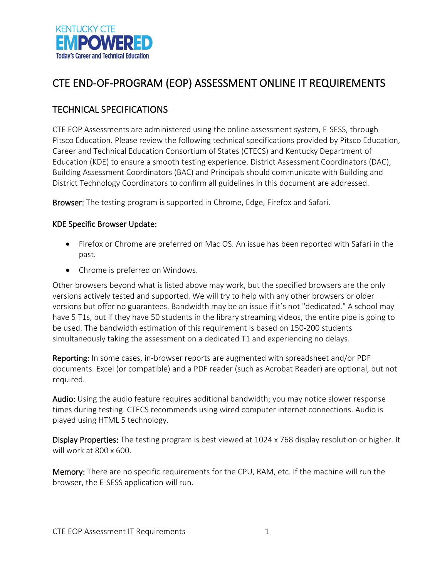

# CTE END-OF-PROGRAM (EOP) ASSESSMENT ONLINE IT REQUIREMENTS

## TECHNICAL SPECIFICATIONS

CTE EOP Assessments are administered using the online assessment system, E-SESS, through Pitsco Education. Please review the following technical specifications provided by Pitsco Education, Career and Technical Education Consortium of States (CTECS) and Kentucky Department of Education (KDE) to ensure a smooth testing experience. District Assessment Coordinators (DAC), Building Assessment Coordinators (BAC) and Principals should communicate with Building and District Technology Coordinators to confirm all guidelines in this document are addressed.

Browser: The testing program is supported in Chrome, Edge, Firefox and Safari.

#### KDE Specific Browser Update:

- Firefox or Chrome are preferred on Mac OS. An issue has been reported with Safari in the past.
- Chrome is preferred on Windows.

Other browsers beyond what is listed above may work, but the specified browsers are the only versions actively tested and supported. We will try to help with any other browsers or older versions but offer no guarantees. Bandwidth may be an issue if it's not "dedicated." A school may have 5 T1s, but if they have 50 students in the library streaming videos, the entire pipe is going to be used. The bandwidth estimation of this requirement is based on 150-200 students simultaneously taking the assessment on a dedicated T1 and experiencing no delays.

Reporting: In some cases, in-browser reports are augmented with spreadsheet and/or PDF documents. Excel (or compatible) and a PDF reader (such as Acrobat Reader) are optional, but not required.

Audio: Using the audio feature requires additional bandwidth; you may notice slower response times during testing. CTECS recommends using wired computer internet connections. Audio is played using HTML 5 technology.

Display Properties: The testing program is best viewed at 1024 x 768 display resolution or higher. It will work at 800 x 600.

Memory: There are no specific requirements for the CPU, RAM, etc. If the machine will run the browser, the E-SESS application will run.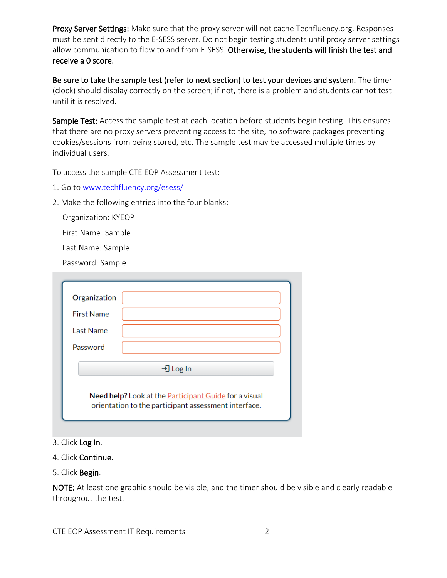Proxy Server Settings: Make sure that the proxy server will not cache Techfluency.org. Responses must be sent directly to the E-SESS server. Do not begin testing students until proxy server settings allow communication to flow to and from E-SESS. Otherwise, the students will finish the test and receive a 0 score.

Be sure to take the sample test (refer to next section) to test your devices and system. The timer (clock) should display correctly on the screen; if not, there is a problem and students cannot test until it is resolved.

Sample Test: Access the sample test at each location before students begin testing. This ensures that there are no proxy servers preventing access to the site, no software packages preventing cookies/sessions from being stored, etc. The sample test may be accessed multiple times by individual users.

To access the sample CTE EOP Assessment test:

- 1. Go to [www.techfluency.org/esess/](http://www.techfluency.org/esess/)
- 2. Make the following entries into the four blanks:

Organization: KYEOP

First Name: Sample

Last Name: Sample

Password: Sample

| Organization      |                                                                                                                      |  |
|-------------------|----------------------------------------------------------------------------------------------------------------------|--|
| <b>First Name</b> |                                                                                                                      |  |
| Last Name         |                                                                                                                      |  |
| Password          |                                                                                                                      |  |
|                   | →] Log In                                                                                                            |  |
|                   | Need help? Look at the <b>Participant Guide</b> for a visual<br>orientation to the participant assessment interface. |  |

- 3. Click Log In.
- 4. Click Continue.
- 5. Click Begin.

NOTE: At least one graphic should be visible, and the timer should be visible and clearly readable throughout the test.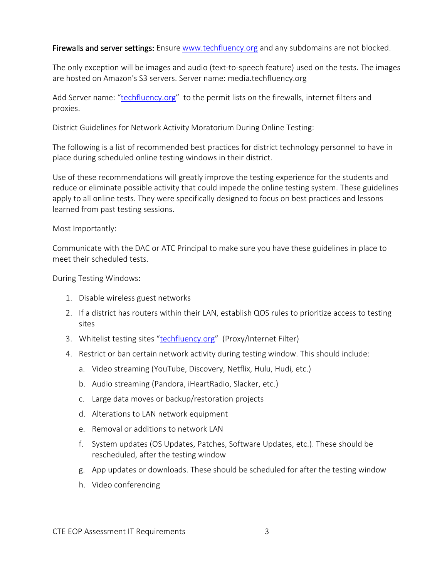Firewalls and server settings: Ensure [www.techfluency.org](http://www.techfluency.org/) and any subdomains are not blocked.

The only exception will be images and audio (text-to-speech feature) used on the tests. The images are hosted on Amazon's S3 servers. Server name: media.techfluency.org

Add Server name: ["techfluency.org"](http://www.techfluency.org/) to the permit lists on the firewalls, internet filters and proxies.

District Guidelines for Network Activity Moratorium During Online Testing:

The following is a list of recommended best practices for district technology personnel to have in place during scheduled online testing windows in their district.

Use of these recommendations will greatly improve the testing experience for the students and reduce or eliminate possible activity that could impede the online testing system. These guidelines apply to all online tests. They were specifically designed to focus on best practices and lessons learned from past testing sessions.

#### Most Importantly:

Communicate with the DAC or ATC Principal to make sure you have these guidelines in place to meet their scheduled tests.

During Testing Windows:

- 1. Disable wireless guest networks
- 2. If a district has routers within their LAN, establish QOS rules to prioritize access to testing sites
- 3. Whitelist testing sites ["techfluency.org"](http://www.techfluency.org/) (Proxy/Internet Filter)
- 4. Restrict or ban certain network activity during testing window. This should include:
	- a. Video streaming (YouTube, Discovery, Netflix, Hulu, Hudi, etc.)
	- b. Audio streaming (Pandora, iHeartRadio, Slacker, etc.)
	- c. Large data moves or backup/restoration projects
	- d. Alterations to LAN network equipment
	- e. Removal or additions to network LAN
	- f. System updates (OS Updates, Patches, Software Updates, etc.). These should be rescheduled, after the testing window
	- g. App updates or downloads. These should be scheduled for after the testing window
	- h. Video conferencing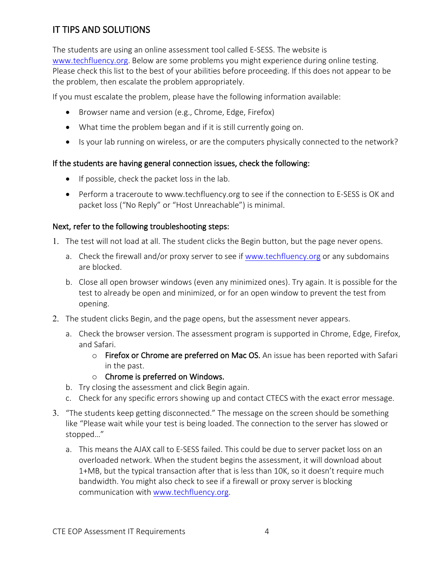# IT TIPS AND SOLUTIONS

The students are using an online assessment tool called E-SESS. The website is [www.techfluency.org.](http://www.techfluency.org/) Below are some problems you might experience during online testing. Please check this list to the best of your abilities before proceeding. If this does not appear to be the problem, then escalate the problem appropriately.

If you must escalate the problem, please have the following information available:

- Browser name and version (e.g., Chrome, Edge, Firefox)
- What time the problem began and if it is still currently going on.
- Is your lab running on wireless, or are the computers physically connected to the network?

### If the students are having general connection issues, check the following:

- If possible, check the packet loss in the lab.
- Perform a traceroute to www.techfluency.org to see if the connection to E-SESS is OK and packet loss ("No Reply" or "Host Unreachable") is minimal.

### Next, refer to the following troubleshooting steps:

- 1. The test will not load at all. The student clicks the Begin button, but the page never opens.
	- a. Check the firewall and/or proxy server to see if [www.techfluency.org](http://www.techfluency.org/) or any subdomains are blocked.
	- b. Close all open browser windows (even any minimized ones). Try again. It is possible for the test to already be open and minimized, or for an open window to prevent the test from opening.
- 2. The student clicks Begin, and the page opens, but the assessment never appears.
	- a. Check the browser version. The assessment program is supported in Chrome, Edge, Firefox, and Safari.
		- o Firefox or Chrome are preferred on Mac OS. An issue has been reported with Safari in the past.
		- o Chrome is preferred on Windows.
	- b. Try closing the assessment and click Begin again.
	- c. Check for any specific errors showing up and contact CTECS with the exact error message.
- 3. "The students keep getting disconnected." The message on the screen should be something like "Please wait while your test is being loaded. The connection to the server has slowed or stopped…"
	- a. This means the AJAX call to E-SESS failed. This could be due to server packet loss on an overloaded network. When the student begins the assessment, it will download about 1+MB, but the typical transaction after that is less than 10K, so it doesn't require much bandwidth. You might also check to see if a firewall or proxy server is blocking communication with [www.techfluency.org.](http://www.techfluency.org/)